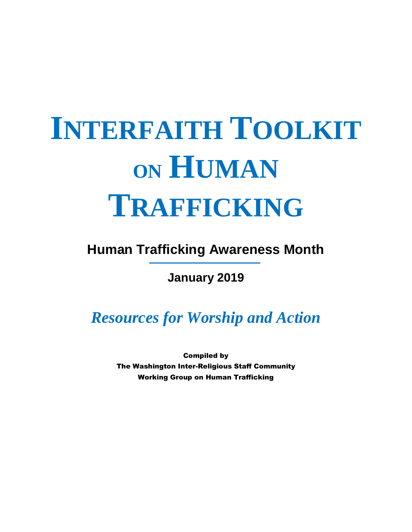# **INTERFAITH TOOLKIT ON HUMAN TRAFFICKING**

**Human Trafficking Awareness Month**

**January 2019**

*Resources for Worship and Action*

Compiled by The Washington Inter-Religious Staff Community Working Group on Human Trafficking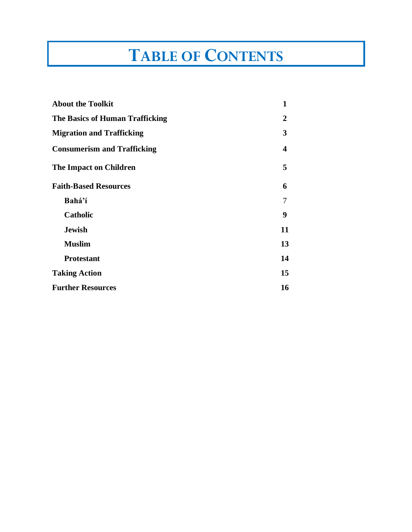# **TABLE OF CONTENTS**

| <b>About the Toolkit</b>           | 1                |
|------------------------------------|------------------|
| The Basics of Human Trafficking    | $\mathbf{2}$     |
| <b>Migration and Trafficking</b>   | 3                |
| <b>Consumerism and Trafficking</b> | $\boldsymbol{4}$ |
| The Impact on Children             | 5                |
| <b>Faith-Based Resources</b>       | 6                |
| Bahá'í                             | 7                |
| <b>Catholic</b>                    | 9                |
| <b>Jewish</b>                      | 11               |
| <b>Muslim</b>                      | 13               |
| <b>Protestant</b>                  | 14               |
| <b>Taking Action</b>               | 15               |
| <b>Further Resources</b>           | 16               |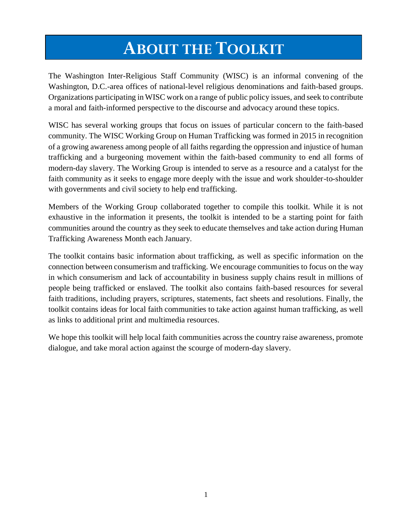### **ABOUT THE TOOLKIT**

The Washington Inter-Religious Staff Community (WISC) is an informal convening of the Washington, D.C.-area offices of national-level religious denominations and faith-based groups. Organizations participating in WISC work on a range of public policy issues, and seek to contribute a moral and faith-informed perspective to the discourse and advocacy around these topics.

WISC has several working groups that focus on issues of particular concern to the faith-based community. The WISC Working Group on Human Trafficking was formed in 2015 in recognition of a growing awareness among people of all faiths regarding the oppression and injustice of human trafficking and a burgeoning movement within the faith-based community to end all forms of modern-day slavery. The Working Group is intended to serve as a resource and a catalyst for the faith community as it seeks to engage more deeply with the issue and work shoulder-to-shoulder with governments and civil society to help end trafficking.

Members of the Working Group collaborated together to compile this toolkit. While it is not exhaustive in the information it presents, the toolkit is intended to be a starting point for faith communities around the country as they seek to educate themselves and take action during Human Trafficking Awareness Month each January.

The toolkit contains basic information about trafficking, as well as specific information on the connection between consumerism and trafficking. We encourage communities to focus on the way in which consumerism and lack of accountability in business supply chains result in millions of people being trafficked or enslaved. The toolkit also contains faith-based resources for several faith traditions, including prayers, scriptures, statements, fact sheets and resolutions. Finally, the toolkit contains ideas for local faith communities to take action against human trafficking, as well as links to additional print and multimedia resources.

We hope this toolkit will help local faith communities across the country raise awareness, promote dialogue, and take moral action against the scourge of modern-day slavery.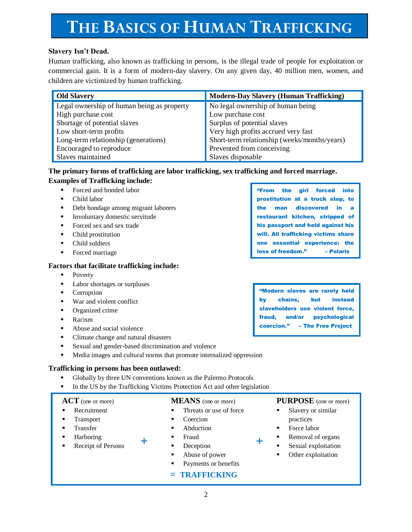### **THE BASICS OF HUMAN TRAFFICKING**

#### **Slavery Isn't Dead.**

Human trafficking, also known as trafficking in persons, is the illegal trade of people for exploitation or commercial gain. It is a form of modern-day slavery. On any given day, 40 million men, women, and children are victimized by human trafficking.

| <b>Old Slavery</b>                         | <b>Modern-Day Slavery (Human Trafficking)</b> |
|--------------------------------------------|-----------------------------------------------|
| Legal ownership of human being as property | No legal ownership of human being             |
| High purchase cost                         | Low purchase cost                             |
| Shortage of potential slaves               | Surplus of potential slaves                   |
| Low short-term profits                     | Very high profits accrued very fast           |
| Long-term relationship (generations)       | Short-term relationship (weeks/months/years)  |
| Encouraged to reproduce                    | Prevented from conceiving                     |
| Slaves maintained                          | Slaves disposable                             |

#### **The primary forms of trafficking are labor trafficking, sex trafficking and forced marriage.**

#### **Examples of Trafficking include:**

- Forced and bonded labor
- Child labor
- Debt bondage among migrant laborers
- Involuntary domestic servitude
- Forced sex and sex trade
- Child prostitution
- Child soldiers
- Forced marriage

#### **Factors that facilitate trafficking include:**

- Poverty
- Labor shortages or surpluses
- Corruption
- War and violent conflict
- **•** Organized crime
- Racism
- Abuse and social violence
- Climate change and natural disasters
- **•** Sexual and gender-based discrimination and violence
- Media images and cultural norms that promote internalized oppression

#### **Trafficking in persons has been outlawed:**

- Globally by three UN conventions known as the Palermo Protocols
- **•** In the US by the Trafficking Victims Protection Act and other legislation

#### **ACT** (one or more) ■ Recruitment

- Transport
- **Transfer**
- **Harboring**
- Harboring **+** Fraud<br>• Receipt of Persons **+** Deception **+**
- Coercion ■ Abduction
- Fraud
	- Deception
	- Abuse of power ■ Payments or benefits

**MEANS** (one or more) ■ Threats or use of force

#### **= TRAFFICKING**

#### **PURPOSE** (one or more)

- Slavery or similar practices
- Force labor
- Removal of organs
- Sexual exploitation
- Other exploitation

"From the girl forced into prostitution at a truck stop, to the man discovered in a restaurant kitchen, stripped of his passport and held against his will. All trafficking victims share one essential experience: the loss of freedom." – Polaris

"Modern slaves are rarely held by chains, but instead slaveholders use violent force, fraud, and/or psychological coercion." – The Free Project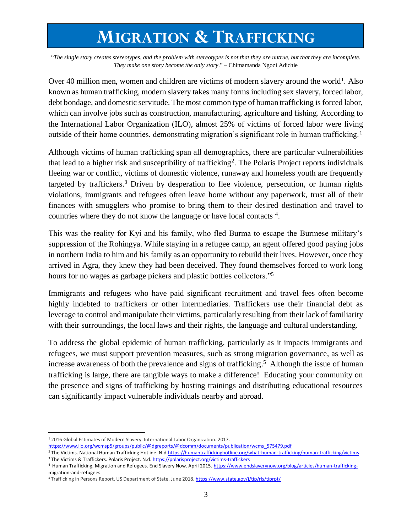### **MIGRATION & TRAFFICKING**

"*The single story creates stereotypes, and the problem with stereotypes is not that they are untrue, but that they are incomplete. They make one story become the only story*." – Chimamanda Ngozi Adichie

Over 40 million men, women and children are victims of modern slavery around the world<sup>1</sup>. Also known as human trafficking, modern slavery takes many forms including sex slavery, forced labor, debt bondage, and domestic servitude. The most common type of human trafficking is forced labor, which can involve jobs such as construction, manufacturing, agriculture and fishing. According to the International Labor Organization (ILO), almost 25% of victims of forced labor were living outside of their home countries, demonstrating migration's significant role in human trafficking.<sup>1</sup>

Although victims of human trafficking span all demographics, there are particular vulnerabilities that lead to a higher risk and susceptibility of trafficking<sup>2</sup>. The Polaris Project reports individuals fleeing war or conflict, victims of domestic violence, runaway and homeless youth are frequently targeted by traffickers.<sup>3</sup> Driven by desperation to flee violence, persecution, or human rights violations, immigrants and refugees often leave home without any paperwork, trust all of their finances with smugglers who promise to bring them to their desired destination and travel to countries where they do not know the language or have local contacts <sup>4</sup>.

This was the reality for Kyi and his family, who fled Burma to escape the Burmese military's suppression of the Rohingya. While staying in a refugee camp, an agent offered good paying jobs in northern India to him and his family as an opportunity to rebuild their lives. However, once they arrived in Agra, they knew they had been deceived. They found themselves forced to work long hours for no wages as garbage pickers and plastic bottles collectors."<sup>5</sup>

Immigrants and refugees who have paid significant recruitment and travel fees often become highly indebted to traffickers or other intermediaries. Traffickers use their financial debt as leverage to control and manipulate their victims, particularly resulting from their lack of familiarity with their surroundings, the local laws and their rights, the language and cultural understanding.

To address the global epidemic of human trafficking, particularly as it impacts immigrants and refugees, we must support prevention measures, such as strong migration governance, as well as increase awareness of both the prevalence and signs of trafficking. 5 Although the issue of human trafficking is large, there are tangible ways to make a difference! Educating your community on the presence and signs of trafficking by hosting trainings and distributing educational resources can significantly impact vulnerable individuals nearby and abroad.

 $\overline{\phantom{0}}$ <sup>1</sup> 2016 Global Estimates of Modern Slavery. International Labor Organization. 2017.

[https://www.ilo.org/wcmsp5/groups/public/@dgreports/@dcomm/documents/publication/wcms\\_575479.pdf](https://www.ilo.org/wcmsp5/groups/public/@dgreports/@dcomm/documents/publication/wcms_575479.pdf)

<sup>&</sup>lt;sup>2</sup> The Victims. National Human Trafficking Hotline. N.[d.https://humantraffickinghotline.org/what-human-trafficking/human-trafficking/victims](https://humantraffickinghotline.org/what-human-trafficking/human-trafficking/victims) <sup>3</sup> The Victims & Traffickers. Polaris Project. N.d[. https://polarisproject.org/victims-traffickers](https://polarisproject.org/victims-traffickers)

<sup>4</sup> Human Trafficking, Migration and Refugees. End Slavery Now. April 2015[. https://www.endslaverynow.org/blog/articles/human-trafficking](https://www.endslaverynow.org/blog/articles/human-trafficking-)migration-and-refugees

<sup>5</sup>Trafficking in Persons Report. US Department of State. June 2018[. https://www.state.gov/j/tip/rls/tiprpt/](https://www.state.gov/j/tip/rls/tiprpt/)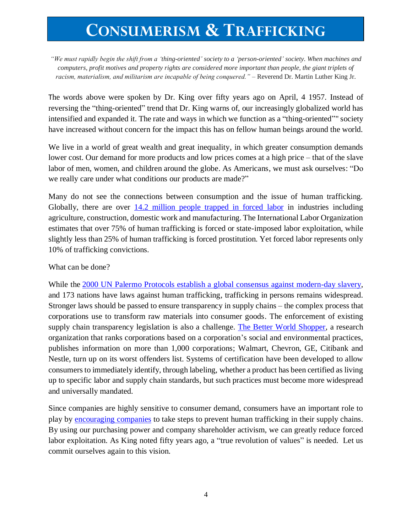### **CONSUMERISM & TRAFFICKING**

*"We must rapidly begin the shift from a 'thing-oriented' society to a 'person-oriented' society. When machines and computers, profit motives and property rights are considered more important than people, the giant triplets of racism, materialism, and militarism are incapable of being conquered."* – Reverend Dr. Martin Luther King Jr.

The words above were spoken by Dr. King over fifty years ago on April, 4 1957. Instead of reversing the "thing-oriented" trend that Dr. King warns of, our increasingly globalized world has intensified and expanded it. The rate and ways in which we function as a "thing-oriented"" society have increased without concern for the impact this has on fellow human beings around the world.

We live in a world of great wealth and great inequality, in which greater consumption demands lower cost. Our demand for more products and low prices comes at a high price – that of the slave labor of men, women, and children around the globe. As Americans, we must ask ourselves: "Do we really care under what conditions our products are made?"

Many do not see the connections between consumption and the issue of human trafficking. Globally, there are over [14.2 million people trapped in forced labor](http://www.ilo.org/global/about-the-ilo/newsroom/news/WCMS_182109/lang--en/index.htm) in industries including agriculture, construction, domestic work and manufacturing. The International Labor Organization estimates that over 75% of human trafficking is forced or state-imposed labor exploitation, while slightly less than 25% of human trafficking is forced prostitution. Yet forced labor represents only 10% of trafficking convictions.

What can be done?

While the [2000 UN Palermo Protocols](http://www.unodc.org/unodc/en/treaties/CTOC/index.html) establish a global consensus against modern-day slavery, and 173 nations have laws against human trafficking, trafficking in persons remains widespread. Stronger laws should be passed to ensure transparency in supply chains – the complex process that corporations use to transform raw materials into consumer goods. The enforcement of existing supply chain transparency legislation is also a challenge. [The Better World Shopper,](http://www.betterworldshopper.org/) a research organization that ranks corporations based on a corporation's social and environmental practices, publishes information on more than 1,000 corporations; Walmart, Chevron, GE, Citibank and Nestle, turn up on its [worst offenders](http://www.betterworldshopper.com/worst.html) list. Systems of certification have been developed to allow consumers to immediately identify, through labeling, whether a product has been certified as living up to specific labor and supply chain standards, but such practices must become more widespread and universally mandated.

Since companies are highly sensitive to consumer demand, consumers have an important role to play by [encouraging companies](https://madeinafreeworld.com/action) to take steps to prevent human trafficking in their supply chains. By using our purchasing power and company shareholder activism, we can greatly reduce forced labor exploitation. As King noted fifty years ago, a "true revolution of values" is needed. Let us commit ourselves again to this vision.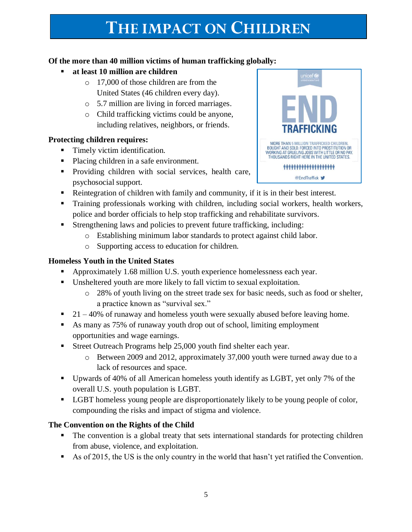### **THE IMPACT ON CHILDREN**

#### **Of the more than 40 million victims of human trafficking globally:**

▪ **at least 10 million are children**

TRAFFICKING = TRAFFICKING = TRAFFICKING = TRAFFICKING = TRAFFICKING = TRAFFICKING = TRAFFICKING = TRAFFICKING

- o 17,000 of those children are from the United States (46 children every day).
- o 5.7 million are living in forced marriages.
- o Child trafficking victims could be anyone, including relatives, neighbors, or friends.

#### **Protecting children requires:**

- Timely victim identification.
- Placing children in a safe environment.
- **•** Providing children with social services, health care, psychosocial support.
- Reintegration of children with family and community, if it is in their best interest.
- **•** Training professionals working with children, including social workers, health workers, police and border officials to help stop trafficking and rehabilitate survivors.
- Strengthening laws and policies to prevent future trafficking, including:
	- o Establishing minimum labor standards to protect against child labor.
	- o Supporting access to education for children.

#### **Homeless Youth in the United States**

- Approximately 1.68 million U.S. youth experience homelessness each year.
- Unsheltered youth are more likely to fall victim to sexual exploitation.
	- o 28% of youth living on the street trade sex for basic needs, such as food or shelter, a practice known as "survival sex."
- $\blacksquare$  21 40% of runaway and homeless youth were sexually abused before leaving home.
- As many as 75% of runaway youth drop out of school, limiting employment opportunities and wage earnings.
- Street Outreach Programs help 25,000 youth find shelter each year.
	- o Between 2009 and 2012, approximately 37,000 youth were turned away due to a lack of resources and space.
- Upwards of 40% of all American homeless youth identify as LGBT, yet only 7% of the overall U.S. youth population is LGBT.
- LGBT homeless young people are disproportionately likely to be young people of color, compounding the risks and impact of stigma and violence.

#### **The Convention on the Rights of the Child**

- The convention is a global treaty that sets international standards for protecting children from abuse, violence, and exploitation.
- As of 2015, the US is the only country in the world that hasn't yet ratified the Convention.

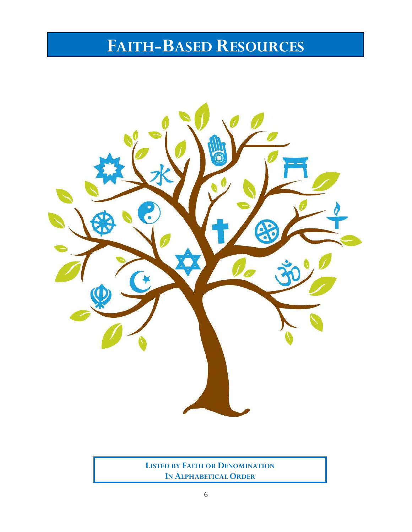### **FAITH-BASED RESOURCES**



**LISTED BY FAITH OR DENOMINATION IN ALPHABETICAL ORDER**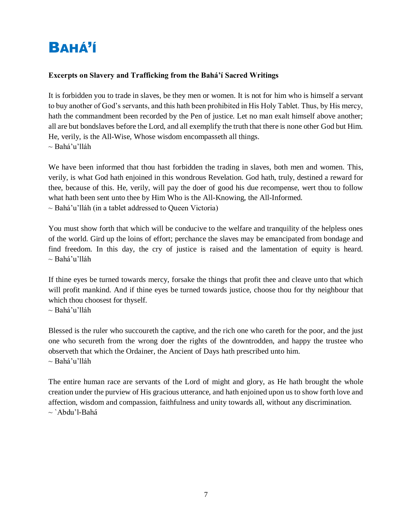

#### **Excerpts on Slavery and Trafficking from the Bahá'í Sacred Writings**

It is forbidden you to trade in slaves, be they men or women. It is not for him who is himself a servant to buy another of God's servants, and this hath been prohibited in His Holy Tablet. Thus, by His mercy, hath the commandment been recorded by the Pen of justice. Let no man exalt himself above another; all are but bondslaves before the Lord, and all exemplify the truth that there is none other God but Him. He, verily, is the All-Wise, Whose wisdom encompasseth all things. ~ Bahá'u'lláh

We have been informed that thou hast forbidden the trading in slaves, both men and women. This, verily, is what God hath enjoined in this wondrous Revelation. God hath, truly, destined a reward for thee, because of this. He, verily, will pay the doer of good his due recompense, wert thou to follow what hath been sent unto thee by Him Who is the All-Knowing, the All-Informed.  $\sim$  Bahá'u'lláh (in a tablet addressed to Queen Victoria)

You must show forth that which will be conducive to the welfare and tranquility of the helpless ones of the world. Gird up the loins of effort; perchance the slaves may be emancipated from bondage and find freedom. In this day, the cry of justice is raised and the lamentation of equity is heard. ~ Bahá'u'lláh

If thine eyes be turned towards mercy, forsake the things that profit thee and cleave unto that which will profit mankind. And if thine eyes be turned towards justice, choose thou for thy neighbour that which thou choosest for thyself.

 $\sim$  Bahá'u'lláh

Blessed is the ruler who succoureth the captive, and the rich one who careth for the poor, and the just one who secureth from the wrong doer the rights of the downtrodden, and happy the trustee who observeth that which the Ordainer, the Ancient of Days hath prescribed unto him. ~ Bahá'u'lláh

The entire human race are servants of the Lord of might and glory, as He hath brought the whole creation under the purview of His gracious utterance, and hath enjoined upon us to show forth love and affection, wisdom and compassion, faithfulness and unity towards all, without any discrimination. ~ `Abdu'l-Bahá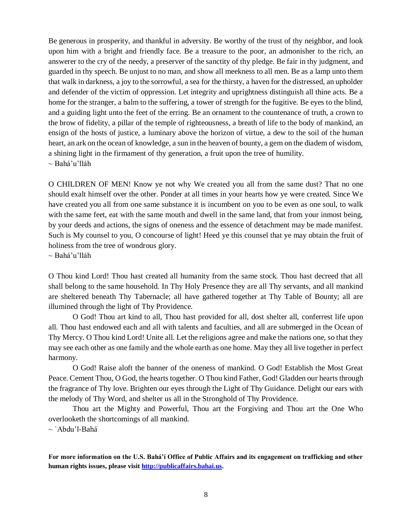Be generous in prosperity, and thankful in adversity. Be worthy of the trust of thy neighbor, and look upon him with a bright and friendly face. Be a treasure to the poor, an admonisher to the rich, an answerer to the cry of the needy, a preserver of the sanctity of thy pledge. Be fair in thy judgment, and guarded in thy speech. Be unjust to no man, and show all meekness to all men. Be as a lamp unto them that walk in darkness, a joy to the sorrowful, a sea for the thirsty, a haven for the distressed, an upholder and defender of the victim of oppression. Let integrity and uprightness distinguish all thine acts. Be a home for the stranger, a balm to the suffering, a tower of strength for the fugitive. Be eyes to the blind, and a guiding light unto the feet of the erring. Be an ornament to the countenance of truth, a crown to the brow of fidelity, a pillar of the temple of righteousness, a breath of life to the body of mankind, an ensign of the hosts of justice, a luminary above the horizon of virtue, a dew to the soil of the human heart, an ark on the ocean of knowledge, a sun in the heaven of bounty, a gem on the diadem of wisdom, a shining light in the firmament of thy generation, a fruit upon the tree of humility. ~ Bahá'u'lláh

O CHILDREN OF MEN! Know ye not why We created you all from the same dust? That no one should exalt himself over the other. Ponder at all times in your hearts how ye were created. Since We have created you all from one same substance it is incumbent on you to be even as one soul, to walk with the same feet, eat with the same mouth and dwell in the same land, that from your inmost being, by your deeds and actions, the signs of oneness and the essence of detachment may be made manifest. Such is My counsel to you, O concourse of light! Heed ye this counsel that ye may obtain the fruit of holiness from the tree of wondrous glory.

~ Bahá'u'lláh

O Thou kind Lord! Thou hast created all humanity from the same stock. Thou hast decreed that all shall belong to the same household. In Thy Holy Presence they are all Thy servants, and all mankind are sheltered beneath Thy Tabernacle; all have gathered together at Thy Table of Bounty; all are illumined through the light of Thy Providence.

O God! Thou art kind to all, Thou hast provided for all, dost shelter all, conferrest life upon all. Thou hast endowed each and all with talents and faculties, and all are submerged in the Ocean of Thy Mercy. O Thou kind Lord! Unite all. Let the religions agree and make the nations one, so that they may see each other as one family and the whole earth as one home. May they all live together in perfect harmony.

O God! Raise aloft the banner of the oneness of mankind. O God! Establish the Most Great Peace. Cement Thou, O God, the hearts together. O Thou kind Father, God! Gladden our hearts through the fragrance of Thy love. Brighten our eyes through the Light of Thy Guidance. Delight our ears with the melody of Thy Word, and shelter us all in the Stronghold of Thy Providence.

Thou art the Mighty and Powerful, Thou art the Forgiving and Thou art the One Who overlooketh the shortcomings of all mankind.

 $\sim$  `Abdu'l-Bahá

**For more information on the U.S. Bahá'í Office of Public Affairs and its engagement on trafficking and other human rights issues, please visi[t http://publicaffairs.bahai.us.](http://publicaffairs.bahai.us/)**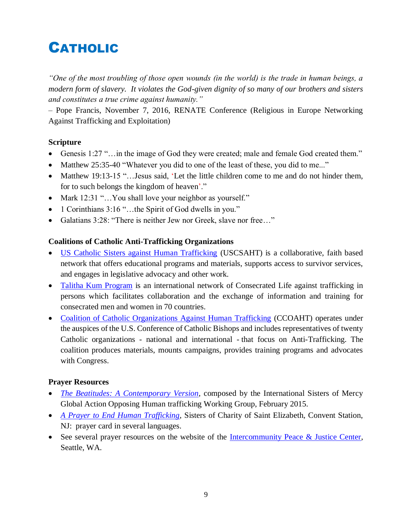### CATHOLIC

*"One of the most troubling of those open wounds (in the world) is the trade in human beings, a modern form of slavery. It violates the God-given dignity of so many of our brothers and sisters and constitutes a true crime against humanity."*

– Pope Francis, November 7, 2016, RENATE Conference (Religious in Europe Networking Against Trafficking and Exploitation)

#### **Scripture**

- Genesis 1:27 "... in the image of God they were created; male and female God created them."
- Matthew 25:35-40 "Whatever you did to one of the least of these, you did to me..."
- Matthew 19:13-15 "... Jesus said, 'Let the little children come to me and do not hinder them, for to such belongs the kingdom of heaven'."
- Mark 12:31 "...You shall love your neighbor as yourself."
- 1 Corinthians 3:16 "...the Spirit of God dwells in you."
- Galatians 3:28: "There is neither Jew nor Greek, slave nor free..."

#### **Coalitions of Catholic Anti-Trafficking Organizations**

- [US Catholic Sisters against Human Trafficking](http://www.sistersagainsttrafficking.org/) (USCSAHT) is a collaborative, faith based network that offers educational programs and materials, supports access to survivor services, and engages in legislative advocacy and other work.
- [Talitha Kum Program](http://www.talithakum.info/) is an international network of Consecrated Life against trafficking in persons which facilitates collaboration and the exchange of information and training for consecrated men and women in 70 countries.
- [Coalition of Catholic Organizations Against Human Trafficking](http://www.usccb.org/about/anti-trafficking-program/index.cfm) (CCOAHT) operates under the auspices of the U.S. Conference of Catholic Bishops and includes representatives of twenty Catholic organizations - national and international - that focus on Anti-Trafficking. The coalition produces materials, mounts campaigns, provides training programs and advocates with Congress.

#### **Prayer Resources**

- *[The Beatitudes: A Contemporary Version](http://www.sistersofmercy.org/blog/2015/06/12/contemporary-beatitudes/)*, composed by the International Sisters of Mercy Global Action Opposing Human trafficking Working Group, February 2015.
- *[A Prayer to End Human Trafficking](http://www.scnj.org/index.php/human-trafficking)*, Sisters of Charity of Saint Elizabeth, Convent Station, NJ: prayer card in several languages.
- See several prayer resources on the website of the [Intercommunity Peace & Justice Center,](http://www.ipjc.org/links/trafficking.htm) Seattle, WA.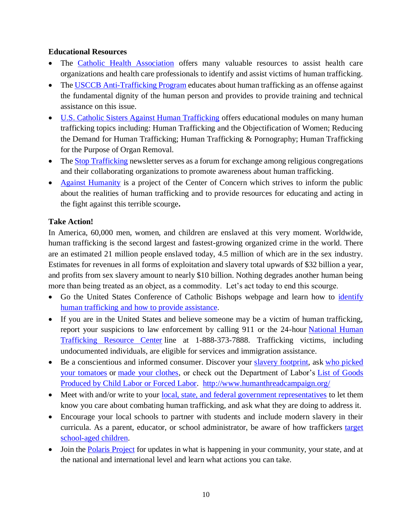#### **Educational Resources**

- The [Catholic Health Association](https://www.chausa.org/human-trafficking/overview) offers many valuable resources to assist health care organizations and health care professionals to identify and assist victims of human trafficking.
- The [USCCB Anti-Trafficking Program](http://www.usccb.org/about/anti-trafficking-program) educates about human trafficking as an offense against the fundamental dignity of the human person and provides to provide training and technical assistance on this issue.
- [U.S. Catholic Sisters Against Human Trafficking](http://www.sistersagainsttrafficking.org/) offers educational modules on many human trafficking topics including: Human Trafficking and the Objectification of Women; Reducing the Demand for Human Trafficking; Human Trafficking & Pornography; Human Trafficking for the Purpose of Organ Removal.
- The [Stop Trafficking](http://www.stopenslavement.org/) newsletter serves as a forum for exchange among religious congregations and their collaborating organizations to promote awareness about human trafficking.
- [Against Humanity](http://www.against-humanity.org/) is a project of the Center of Concern which strives to inform the public about the realities of human trafficking and to provide resources for educating and acting in the fight against this terrible scourge**.**

#### **Take Action!**

In America, 60,000 men, women, and children are enslaved at this very moment. Worldwide, human trafficking is the second largest and fastest-growing organized crime in the world. There are an estimated 21 million people enslaved today, 4.5 million of which are in the sex industry. Estimates for revenues in all forms of exploitation and slavery total upwards of \$32 billion a year, and profits from sex slavery amount to nearly \$10 billion. Nothing degrades another human being more than being treated as an object, as a commodity. Let's act today to end this scourge.

- Go the United States Conference of Catholic Bishops webpage and learn how to identify [human trafficking](http://www.usccb.org/about/anti-trafficking-program/identifying-trafficking-victims.cfm) and [how to provide assistance.](http://www.usccb.org/about/anti-trafficking-program/identifying-trafficking-victims.cfm)
- If you are in the United States and believe someone may be a victim of human trafficking, report your suspicions to law enforcement by calling 911 or the 24-hour [National Human](http://www.polarisproject.org/what-we-do/national-human-trafficking-hotline/report-a-tip)  [Trafficking Resource Center](http://www.polarisproject.org/what-we-do/national-human-trafficking-hotline/report-a-tip) line at 1-888-373-7888. Trafficking victims, including undocumented individuals, are eligible for services and immigration assistance.
- Be a conscientious and informed consumer. Discover your [slavery footprint,](http://www.slaveryfootprint.org/) ask who picked [your tomatoes](http://www.ciw-online.org/) or [made your clothes,](http://fashionrevolution.org/) or check out the Department of Labor's List of Goods [Produced by Child Labor or Forced Labor.](http://www.dol.gov/ilab/reports/child-labor/list-of-goods/) <http://www.humanthreadcampaign.org/>
- Meet with and/or write to your [local, state, and federal government representatives](https://www.usa.gov/elected-officials) to let them know you care about combating human trafficking, and ask what they are doing to address it.
- Encourage your local schools to partner with students and include modern slavery in their curricula. As a parent, educator, or school administrator, be aware of how traffickers [target](https://safesupportivelearning.ed.gov/human-trafficking-americas-schools)  [school-aged children.](https://safesupportivelearning.ed.gov/human-trafficking-americas-schools)
- Join the **Polaris Project** for updates in what is happening in your community, your state, and at the national and international level and learn what actions you can take.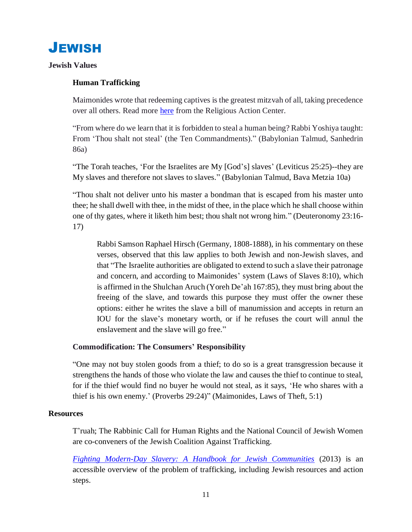

**Jewish Values** 

#### **Human Trafficking**

Maimonides wrote that redeeming captives is the greatest mitzvah of all, taking precedence over all others. Read more [here](http://www.rac.org/jewish-values-and-human-trafficking) from the Religious Action Center.

"From where do we learn that it is forbidden to steal a human being? Rabbi Yoshiya taught: From 'Thou shalt not steal' (the Ten Commandments)." (Babylonian Talmud, Sanhedrin 86a)

"The Torah teaches, 'For the Israelites are My [God's] slaves' (Leviticus 25:25)--they are My slaves and therefore not slaves to slaves." (Babylonian Talmud, Bava Metzia 10a)

"Thou shalt not deliver unto his master a bondman that is escaped from his master unto thee; he shall dwell with thee, in the midst of thee, in the place which he shall choose within one of thy gates, where it liketh him best; thou shalt not wrong him." (Deuteronomy 23:16- 17)

Rabbi Samson Raphael Hirsch (Germany, 1808-1888), in his commentary on these verses, observed that this law applies to both Jewish and non-Jewish slaves, and that "The Israelite authorities are obligated to extend to such a slave their patronage and concern, and according to Maimonides' system (Laws of Slaves 8:10), which is affirmed in the Shulchan Aruch (Yoreh De'ah 167:85), they must bring about the freeing of the slave, and towards this purpose they must offer the owner these options: either he writes the slave a bill of manumission and accepts in return an IOU for the slave's monetary worth, or if he refuses the court will annul the enslavement and the slave will go free."

#### **Commodification: The Consumers' Responsibility**

"One may not buy stolen goods from a thief; to do so is a great transgression because it strengthens the hands of those who violate the law and causes the thief to continue to steal, for if the thief would find no buyer he would not steal, as it says, 'He who shares with a thief is his own enemy.' (Proverbs 29:24)" (Maimonides, Laws of Theft, 5:1)

#### **Resources**

T'ruah; The Rabbinic Call for Human Rights and the National Council of Jewish Women are co-conveners of the Jewish Coalition Against Trafficking.

*[Fighting Modern-Day Slavery: A Handbook for Jewish Communities](http://www.truah.org/slaveryhandbook)* (2013) is an accessible overview of the problem of trafficking, including Jewish resources and action steps.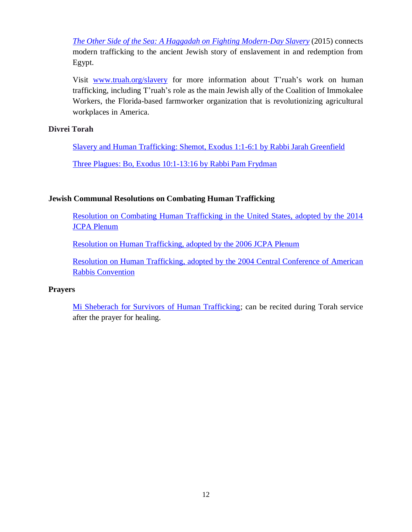*[The Other Side of the Sea: A Haggadah on Fighting Modern-Day Slavery](http://www.truah.org/pesach)* (2015) connects modern trafficking to the ancient Jewish story of enslavement in and redemption from Egypt.

Visit [www.truah.org/slavery](http://www.truah.org/slavery) for more information about T'ruah's work on human trafficking, including T'ruah's role as the main Jewish ally of the Coalition of Immokalee Workers, the Florida-based farmworker organization that is revolutionizing agricultural workplaces in America.

#### **Divrei Torah**

[Slavery and Human Trafficking: Shemot, Exodus 1:1-6:1 by Rabbi Jarah Greenfield](http://jewishstandard.timesofisrael.com/shemot/?/content/item/shemot/16436)

[Three Plagues: Bo, Exodus 10:1-13:16 by Rabbi Pam Frydman](http://www.truah.org/resources-91356/divrei-torah/433-three-plagues.html)

#### **Jewish Communal Resolutions on Combating Human Trafficking**

[Resolution on Combating Human Trafficking in the United States, adopted by the 2014](http://engage.jewishpublicaffairs.org/t/1686/blog/comments.jsp?key=109&blog_entry_KEY=7161&t=)  [JCPA Plenum](http://engage.jewishpublicaffairs.org/t/1686/blog/comments.jsp?key=109&blog_entry_KEY=7161&t=)

[Resolution on Human Trafficking, adopted by the 2006 JCPA Plenum](http://engage.jewishpublicaffairs.org/t/1686/blog/comments.jsp?key=109&blog_entry_KEY=434&t=) 

[Resolution on Human Trafficking, adopted by the 2004 Central Conference of American](https://ccarnet.org/rabbis-speak/resolutions/2004/human-trafficking-resolution-on/)  [Rabbis Convention](https://ccarnet.org/rabbis-speak/resolutions/2004/human-trafficking-resolution-on/)

#### **Prayers**

[Mi Sheberach for Survivors of Human Trafficking;](http://www.truah.org/images/mi-sheberach-trafficking.pdf) can be recited during Torah service after the prayer for healing.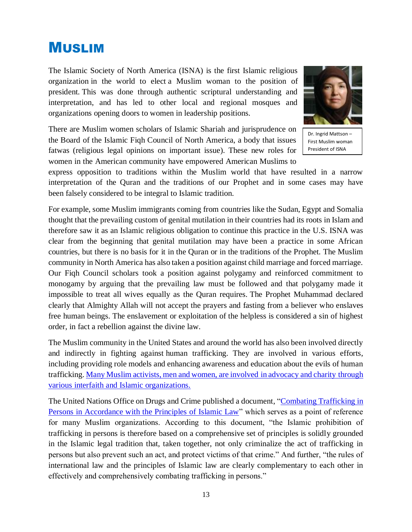### MUSLIM

The Islamic Society of North America (ISNA) is the first Islamic religious organization in the world to elect a Muslim woman to the position of president. This was done through authentic scriptural understanding and interpretation, and has led to other local and regional mosques and organizations opening doors to women in leadership positions.

There are Muslim women scholars of Islamic Shariah and jurisprudence on the Board of the Islamic Fiqh Council of North America, a body that issues fatwas (religious legal opinions on important issue). These new roles for women in the American community have empowered American Muslims to



Dr. Ingrid Mattson – First Muslim woman President of ISNA

express opposition to traditions within the Muslim world that have resulted in a narrow interpretation of the Quran and the traditions of our Prophet and in some cases may have been falsely considered to be integral to Islamic tradition.

For example, some Muslim immigrants coming from countries like the Sudan, Egypt and Somalia thought that the prevailing custom of genital mutilation in their countries had its roots in Islam and therefore saw it as an Islamic religious obligation to continue this practice in the U.S. ISNA was clear from the beginning that genital mutilation may have been a practice in some African countries, but there is no basis for it in the Quran or in the traditions of the Prophet. The Muslim community in North America has also taken a position against child marriage and forced marriage. Our Fiqh Council scholars took a position against polygamy and reinforced commitment to monogamy by arguing that the prevailing law must be followed and that polygamy made it impossible to treat all wives equally as the Quran requires. The Prophet Muhammad declared clearly that Almighty Allah will not accept the prayers and fasting from a believer who enslaves free human beings. The enslavement or exploitation of the helpless is considered a sin of highest order, in fact a rebellion against the divine law.

The Muslim community in the United States and around the world has also been involved directly and indirectly in fighting against human trafficking. They are involved in various efforts, including providing role models and enhancing awareness and education about the evils of human trafficking. [Many Muslim activists, men and women, are involved](https://mct0.wordpress.com/) in advocacy and charity through [various interfaith and Islamic organizations.](https://mct0.wordpress.com/)

The United Nations Office on Drugs and Crime published a document, "Combating Trafficking in [Persons in Accordance with the Principles of Islamic Law"](https://www.unodc.org/documents/human-trafficking/Islamic_Law_TIP_E_ebook_18_March_2010_V0985841.pdf) which serves as a point of reference for many Muslim organizations. According to this document, "the Islamic prohibition of trafficking in persons is therefore based on a comprehensive set of principles is solidly grounded in the Islamic legal tradition that, taken together, not only criminalize the act of trafficking in persons but also prevent such an act, and protect victims of that crime." And further, "the rules of international law and the principles of Islamic law are clearly complementary to each other in effectively and comprehensively combating trafficking in persons."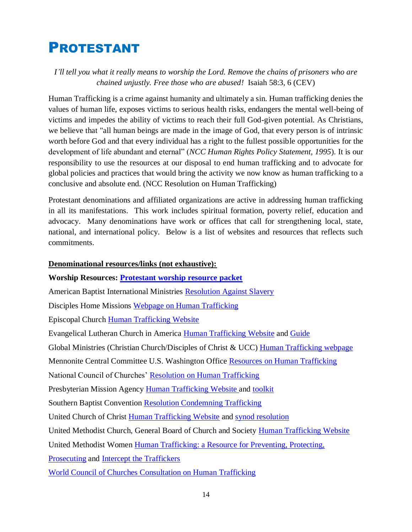### PROTESTANT

*I'll tell you what it really means to worship the Lord. Remove the chains of prisoners who are chained unjustly. Free those who are abused!* Isaiah 58:3, 6 (CEV)

Human Trafficking is a crime against humanity and ultimately a sin. Human trafficking denies the values of human life, exposes victims to serious health risks, endangers the mental well-being of victims and impedes the ability of victims to reach their full God-given potential. As Christians, we believe that "all human beings are made in the image of God, that every person is of intrinsic worth before God and that every individual has a right to the fullest possible opportunities for the development of life abundant and eternal" (*NCC Human Rights Policy Statement, 1995*). It is our responsibility to use the resources at our disposal to end human trafficking and to advocate for global policies and practices that would bring the activity we now know as human trafficking to a conclusive and absolute end. (NCC Resolution on Human Trafficking)

Protestant denominations and affiliated organizations are active in addressing human trafficking in all its manifestations. This work includes spiritual formation, poverty relief, education and advocacy. Many denominations have work or offices that call for strengthening local, state, national, and international policy. Below is a list of websites and resources that reflects such commitments.

#### **Denominational resources/links (not exhaustive):**

#### **Worship Resources: [Protestant worship resource packet](http://umc-gbcs.org/content/general/HT_Protestant_Worship.pdf)**

American Baptist International Ministries [Resolution Against Slavery](http://www.internationalministries.org/uploads/document/asset/59835/International_Ministries_Resolution_Against_Slavery.pdf)

Disciples Home Missions [Webpage on Human Trafficking](https://www.discipleshomemissions.org/congregations/disciples-women/human-trafficking-link-by-link/) 

Episcopal Church [Human Trafficking Website](http://www.episcopalchurch.org/page/human-trafficking)

Evangelical Lutheran Church in America [Human Trafficking Website](http://www.elca.org/Our-Work/Publicly-Engaged-Church/Justice-for-Women/Social-Issues/Human-Trafficking) and [Guide](http://www.loppw.org/wp-content/blogs.dir/45/files/2016/10/2016-LOPPW-Study-on-Human-Trafficking.pdf)

Global Ministries (Christian Church/Disciples of Christ & UCC) [Human Trafficking webpage](http://www.globalministries.org/human_trafficking)

Mennonite Central Committee U.S. Washington Office [Resources on Human Trafficking](http://washingtonmemo.org/trafficking)

National Council of Churches' [Resolution on Human Trafficking](http://nationalcouncilofchurches.us/common-witness/2008/human-traffic.php)

Presbyterian Mission Agency [Human Trafficking](http://www.presbyterianmission.org/ministries/human-trafficking/) Website and [toolkit](http://www.pcusa.org/site_media/media/uploads/humantrafficking/pdfs/human-trafficking-toolkit.pdf)

Southern Baptist Convention [Resolution Condemning Trafficking](http://www.sbc.net/resolutions/626)

United Church of Christ [Human Trafficking Website](http://www.ucc.org/justice_womens-issues_human-trafficking) and [synod resolution](http://d3n8a8pro7vhmx.cloudfront.net/unitedchurchofchrist/legacy_url/1588/GS-full-text-res-trafficking-final.pdf?1418425101)

United Methodist Church, General Board of Church and Society [Human Trafficking Website](https://www.umcjustice.org/what-we-care-about/women-and-children/human-trafficking)

United Methodist Women [Human Trafficking: a Resource for Preventing, Protecting,](http://www.unitedmethodistwomen.org/ht/packet.pdf) 

[Prosecuting](http://www.unitedmethodistwomen.org/ht/packet.pdf) and [Intercept the Traffickers](http://www.unitedmethodistwomen.org/intercept)

[World Council of Churches Consultation on Human Trafficking](https://www.oikoumene.org/en/press-centre/news/ecumenical-consultation-urges-elimination-of-human-trafficking)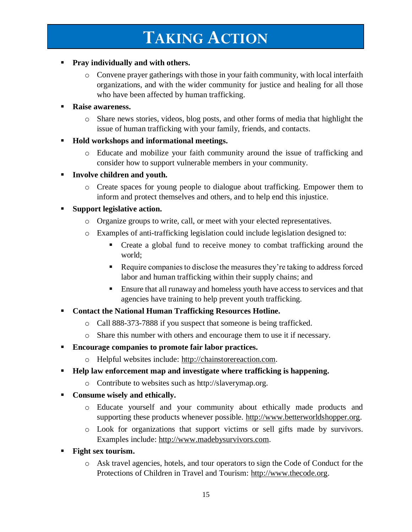### **TAKING ACTION**

- **Pray individually and with others.** 
	- $\circ$  Convene prayer gatherings with those in your faith community, with local interfaith organizations, and with the wider community for justice and healing for all those who have been affected by human trafficking.
- **Raise awareness.**
	- o Share news stories, videos, blog posts, and other forms of media that highlight the issue of human trafficking with your family, friends, and contacts.
- **Hold workshops and informational meetings.**
	- o Educate and mobilize your faith community around the issue of trafficking and consider how to support vulnerable members in your community.
- **Involve children and youth.**
	- o Create spaces for young people to dialogue about trafficking. Empower them to inform and protect themselves and others, and to help end this injustice.

#### ▪ **Support legislative action.**

- o Organize groups to write, call, or meet with your elected representatives.
- o Examples of anti-trafficking legislation could include legislation designed to:
	- Create a global fund to receive money to combat trafficking around the world;
	- Require companies to disclose the measures they're taking to address forced labor and human trafficking within their supply chains; and
	- Ensure that all runaway and homeless youth have access to services and that agencies have training to help prevent youth trafficking.
- **Contact the National Human Trafficking Resources Hotline.**
	- o Call 888-373-7888 if you suspect that someone is being trafficked.
	- o Share this number with others and encourage them to use it if necessary.
- **Encourage companies to promote fair labor practices.** 
	- o Helpful websites include: [http://chainstorereaction.com.](http://chainstorereaction.com/)
- **Help law enforcement map and investigate where trafficking is happening.**
	- o Contribute to websites such as http://slaverymap.org.
- **Consume wisely and ethically.** 
	- o Educate yourself and your community about ethically made products and supporting these products whenever possible. [http://www.betterworldshopper.org.](http://www.betterworldshopper.org/)
	- o Look for organizations that support victims or sell gifts made by survivors. Examples include: [http://www.madebysurvivors.com.](http://www.madebysurvivors.com/)
- **Fight sex tourism.**
	- o Ask travel agencies, hotels, and tour operators to sign the Code of Conduct for the Protections of Children in Travel and Tourism: [http://www.thecode.org.](http://www.thecode.org/)